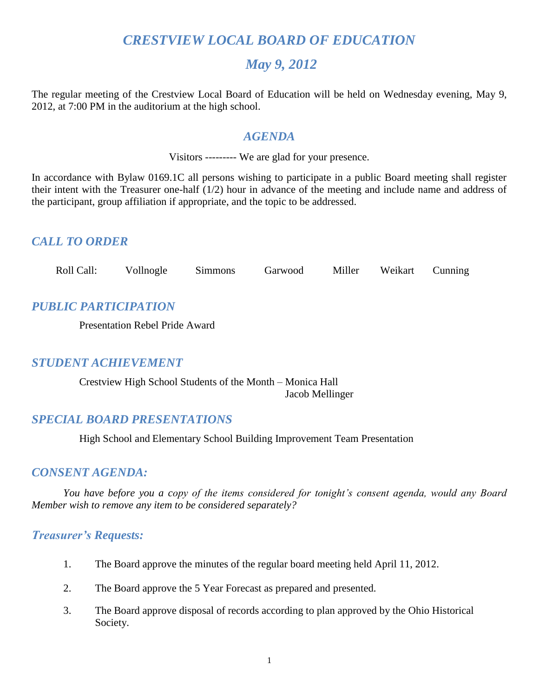# *CRESTVIEW LOCAL BOARD OF EDUCATION*

# *May 9, 2012*

The regular meeting of the Crestview Local Board of Education will be held on Wednesday evening, May 9, 2012, at 7:00 PM in the auditorium at the high school.

## *AGENDA*

Visitors --------- We are glad for your presence.

In accordance with Bylaw 0169.1C all persons wishing to participate in a public Board meeting shall register their intent with the Treasurer one-half (1/2) hour in advance of the meeting and include name and address of the participant, group affiliation if appropriate, and the topic to be addressed.

# *CALL TO ORDER*

| Roll Call: | Vollnogle | Simmons | Garwood | Miller | Weikart | Cunning |
|------------|-----------|---------|---------|--------|---------|---------|
|------------|-----------|---------|---------|--------|---------|---------|

# *PUBLIC PARTICIPATION*

Presentation Rebel Pride Award

# *STUDENT ACHIEVEMENT*

Crestview High School Students of the Month – Monica Hall Jacob Mellinger

# *SPECIAL BOARD PRESENTATIONS*

High School and Elementary School Building Improvement Team Presentation

# *CONSENT AGENDA:*

*You have before you a copy of the items considered for tonight's consent agenda, would any Board Member wish to remove any item to be considered separately?*

# *Treasurer's Requests:*

- 1. The Board approve the minutes of the regular board meeting held April 11, 2012.
- 2. The Board approve the 5 Year Forecast as prepared and presented.
- 3. The Board approve disposal of records according to plan approved by the Ohio Historical Society.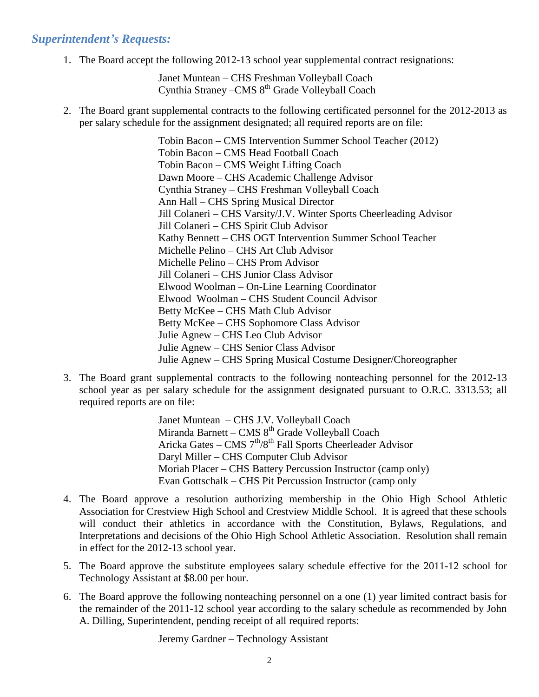## *Superintendent's Requests:*

1. The Board accept the following 2012-13 school year supplemental contract resignations:

Janet Muntean – CHS Freshman Volleyball Coach Cynthia Straney - CMS 8<sup>th</sup> Grade Volleyball Coach

2. The Board grant supplemental contracts to the following certificated personnel for the 2012-2013 as per salary schedule for the assignment designated; all required reports are on file:

> Tobin Bacon – CMS Intervention Summer School Teacher (2012) Tobin Bacon – CMS Head Football Coach Tobin Bacon – CMS Weight Lifting Coach Dawn Moore – CHS Academic Challenge Advisor Cynthia Straney – CHS Freshman Volleyball Coach Ann Hall – CHS Spring Musical Director Jill Colaneri – CHS Varsity/J.V. Winter Sports Cheerleading Advisor Jill Colaneri – CHS Spirit Club Advisor Kathy Bennett – CHS OGT Intervention Summer School Teacher Michelle Pelino – CHS Art Club Advisor Michelle Pelino – CHS Prom Advisor Jill Colaneri – CHS Junior Class Advisor Elwood Woolman – On-Line Learning Coordinator Elwood Woolman – CHS Student Council Advisor Betty McKee – CHS Math Club Advisor Betty McKee – CHS Sophomore Class Advisor Julie Agnew – CHS Leo Club Advisor Julie Agnew – CHS Senior Class Advisor Julie Agnew – CHS Spring Musical Costume Designer/Choreographer

3. The Board grant supplemental contracts to the following nonteaching personnel for the 2012-13 school year as per salary schedule for the assignment designated pursuant to O.R.C. 3313.53; all required reports are on file:

> Janet Muntean – CHS J.V. Volleyball Coach Miranda Barnett - CMS 8<sup>th</sup> Grade Volleyball Coach Aricka Gates – CMS 7<sup>th</sup>/8<sup>th</sup> Fall Sports Cheerleader Advisor Daryl Miller – CHS Computer Club Advisor Moriah Placer – CHS Battery Percussion Instructor (camp only) Evan Gottschalk – CHS Pit Percussion Instructor (camp only

- 4. The Board approve a resolution authorizing membership in the Ohio High School Athletic Association for Crestview High School and Crestview Middle School. It is agreed that these schools will conduct their athletics in accordance with the Constitution, Bylaws, Regulations, and Interpretations and decisions of the Ohio High School Athletic Association. Resolution shall remain in effect for the 2012-13 school year.
- 5. The Board approve the substitute employees salary schedule effective for the 2011-12 school for Technology Assistant at \$8.00 per hour.
- 6. The Board approve the following nonteaching personnel on a one (1) year limited contract basis for the remainder of the 2011-12 school year according to the salary schedule as recommended by John A. Dilling, Superintendent, pending receipt of all required reports:

Jeremy Gardner – Technology Assistant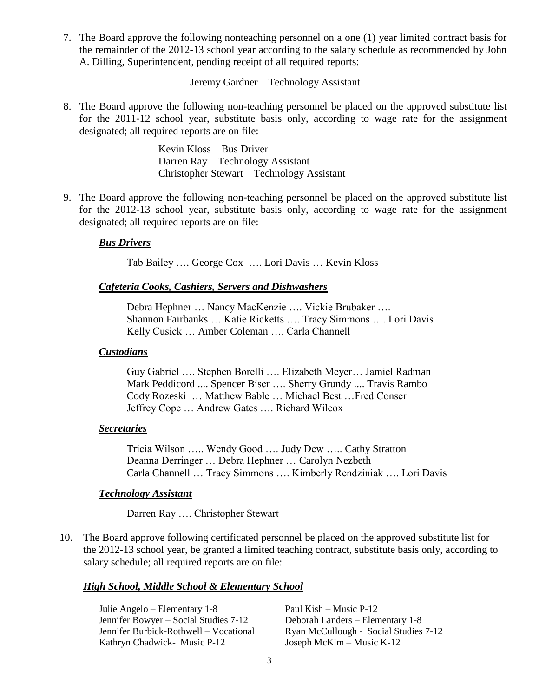7. The Board approve the following nonteaching personnel on a one (1) year limited contract basis for the remainder of the 2012-13 school year according to the salary schedule as recommended by John A. Dilling, Superintendent, pending receipt of all required reports:

Jeremy Gardner – Technology Assistant

8. The Board approve the following non-teaching personnel be placed on the approved substitute list for the 2011-12 school year, substitute basis only, according to wage rate for the assignment designated; all required reports are on file:

> Kevin Kloss – Bus Driver Darren Ray – Technology Assistant Christopher Stewart – Technology Assistant

9. The Board approve the following non-teaching personnel be placed on the approved substitute list for the 2012-13 school year, substitute basis only, according to wage rate for the assignment designated; all required reports are on file:

#### *Bus Drivers*

Tab Bailey …. George Cox …. Lori Davis … Kevin Kloss

#### *Cafeteria Cooks, Cashiers, Servers and Dishwashers*

Debra Hephner … Nancy MacKenzie …. Vickie Brubaker …. Shannon Fairbanks … Katie Ricketts …. Tracy Simmons …. Lori Davis Kelly Cusick … Amber Coleman …. Carla Channell

#### *Custodians*

Guy Gabriel …. Stephen Borelli …. Elizabeth Meyer… Jamiel Radman Mark Peddicord .... Spencer Biser …. Sherry Grundy .... Travis Rambo Cody Rozeski … Matthew Bable … Michael Best …Fred Conser Jeffrey Cope … Andrew Gates …. Richard Wilcox

#### *Secretaries*

Tricia Wilson ….. Wendy Good …. Judy Dew ….. Cathy Stratton Deanna Derringer … Debra Hephner … Carolyn Nezbeth Carla Channell … Tracy Simmons …. Kimberly Rendziniak …. Lori Davis

#### *Technology Assistant*

Darren Ray …. Christopher Stewart

10. The Board approve following certificated personnel be placed on the approved substitute list for the 2012-13 school year, be granted a limited teaching contract, substitute basis only, according to salary schedule; all required reports are on file:

#### *High School, Middle School & Elementary School*

Julie Angelo – Elementary 1-8 Paul Kish – Music P-12 Jennifer Bowyer – Social Studies 7-12 Deborah Landers – Elementary 1-8 Kathryn Chadwick- Music P-12 Joseph McKim – Music K-12

Jennifer Burbick-Rothwell – Vocational Ryan McCullough - Social Studies 7-12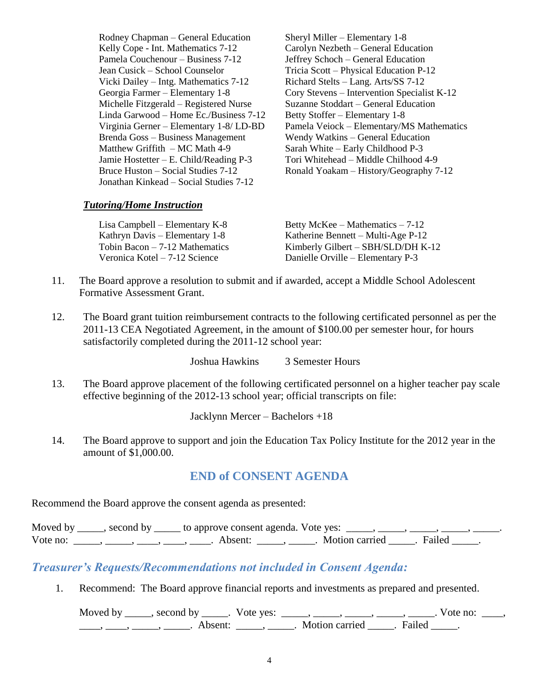Rodney Chapman – General Education Sheryl Miller – Elementary 1-8 Kelly Cope - Int. Mathematics 7-12 Carolyn Nezbeth – General Education Pamela Couchenour – Business 7-12 Jeffrey Schoch – General Education Jean Cusick – School Counselor Tricia Scott – Physical Education P-12 Vicki Dailey – Intg. Mathematics 7-12 Richard Stelts – Lang. Arts/SS 7-12 Michelle Fitzgerald – Registered Nurse Suzanne Stoddart – General Education Linda Garwood – Home Ec./Business 7-12 Betty Stoffer – Elementary 1-8 Brenda Goss – Business Management Wendy Watkins – General Education Matthew Griffith – MC Math 4-9 Sarah White – Early Childhood P-3 Jamie Hostetter – E. Child/Reading P-3 Tori Whitehead – Middle Chilhood 4-9 Jonathan Kinkead – Social Studies 7-12

Georgia Farmer – Elementary 1-8 Cory Stevens – Intervention Specialist K-12 Virginia Gerner – Elementary 1-8/ LD-BD Pamela Veiock – Elementary/MS Mathematics Bruce Huston – Social Studies 7-12 Ronald Yoakam – History/Geography 7-12

#### *Tutoring/Home Instruction*

| Betty McKee – Mathematics – $7-12$ |
|------------------------------------|
| Katherine Bennett – Multi-Age P-12 |
| Kimberly Gilbert – SBH/SLD/DH K-12 |
| Danielle Orville – Elementary P-3  |
|                                    |

- 11. The Board approve a resolution to submit and if awarded, accept a Middle School Adolescent Formative Assessment Grant.
- 12. The Board grant tuition reimbursement contracts to the following certificated personnel as per the 2011-13 CEA Negotiated Agreement, in the amount of \$100.00 per semester hour, for hours satisfactorily completed during the 2011-12 school year:

Joshua Hawkins 3 Semester Hours

13. The Board approve placement of the following certificated personnel on a higher teacher pay scale effective beginning of the 2012-13 school year; official transcripts on file:

Jacklynn Mercer – Bachelors +18

14. The Board approve to support and join the Education Tax Policy Institute for the 2012 year in the amount of \$1,000.00.

# **END of CONSENT AGENDA**

Recommend the Board approve the consent agenda as presented:

Moved by  $\_\_\_\_\$ , second by  $\_\_\_\_$  to approve consent agenda. Vote yes:  $\_\_\_\_\_\_\_\_\_\_\_\_\_$ Vote no: \_\_\_\_\_, \_\_\_\_\_, \_\_\_\_, \_\_\_\_, Absent: \_\_\_\_\_, \_\_\_\_\_. Motion carried \_\_\_\_\_. Failed \_\_\_\_\_.

# *Treasurer's Requests/Recommendations not included in Consent Agenda:*

1. Recommend: The Board approve financial reports and investments as prepared and presented.

Moved by \_\_\_\_\_, second by \_\_\_\_\_. Vote yes:  $\_\_\_\_\_\_\_\_\_\_\_\_\_\_\_$  \_\_\_\_\_, \_\_\_\_\_, \_\_\_\_\_. Vote no:  $\_\_\_\_\_\_\$ \_\_\_\_, \_\_\_\_\_, \_\_\_\_\_\_, Absent: \_\_\_\_\_, \_\_\_\_\_. Motion carried \_\_\_\_\_. Failed \_\_\_\_\_.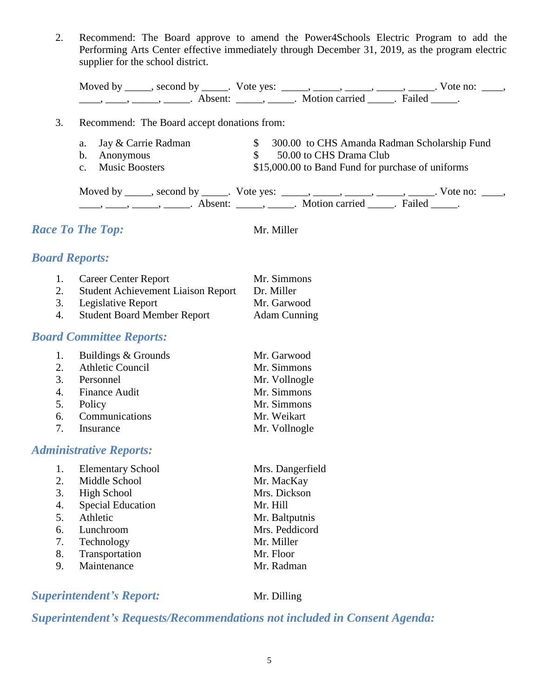2. Recommend: The Board approve to amend the Power4Schools Electric Program to add the Performing Arts Center effective immediately through December 31, 2019, as the program electric supplier for the school district.

| Moved by second by |                     | Vote yes: |                |        | vote no: |  |
|--------------------|---------------------|-----------|----------------|--------|----------|--|
|                    | Absent <sup>.</sup> |           | Motion carried | Failed |          |  |

## 3. Recommend: The Board accept donations from:

- a. Jay & Carrie Radman  $\frac{1}{2}$  300.00 to CHS Amanda Radman Scholarship Fund b. Anonymous  $\qquad \qquad$  \$ 50.00 to CHS Drama Club
- 
- 
- c. Music Boosters \$15,000.00 to Band Fund for purchase of uniforms

| Moved by second by T | . Vote yes: |                  |        | Vote no: |  |
|----------------------|-------------|------------------|--------|----------|--|
| Absent:              |             | . Motion carried | Failed |          |  |

# *Race To The Top:* Mr. Miller

# *Board Reports:*

1. Career Center Report Mr. Simmons 2. Student Achievement Liaison Report Dr. Miller 3. Legislative Report Mr. Garwood 4. Student Board Member Report Adam Cunning

# *Board Committee Reports:*

| 1. Buildings & Grounds | Mr. Garwood   |
|------------------------|---------------|
| 2. Athletic Council    | Mr. Simmons   |
| 3. Personnel           | Mr. Vollnogle |
| 4. Finance Audit       | Mr. Simmons   |
| 5. Policy              | Mr. Simmons   |
| 6. Communications      | Mr. Weikart   |
| 7. Insurance           | Mr. Vollnogle |

# *Administrative Reports:*

|    | <b>Elementary School</b> | Mrs. Dangerfield |
|----|--------------------------|------------------|
| 2. | Middle School            | Mr. MacKay       |
| 3. | <b>High School</b>       | Mrs. Dickson     |
| 4. | <b>Special Education</b> | Mr. Hill         |
| 5. | Athletic                 | Mr. Baltputnis   |
| 6. | Lunchroom                | Mrs. Peddicord   |
| 7. | Technology               | Mr. Miller       |
| 8. | Transportation           | Mr. Floor        |
| 9. | Maintenance              | Mr. Radman       |
|    |                          |                  |

**Superintendent's Report:** Mr. Dilling

# *Superintendent's Requests/Recommendations not included in Consent Agenda:*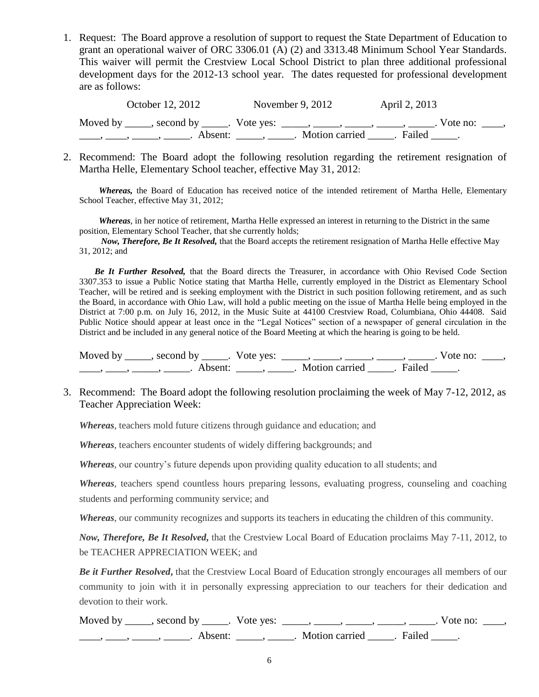1. Request: The Board approve a resolution of support to request the State Department of Education to grant an operational waiver of ORC 3306.01 (A) (2) and 3313.48 Minimum School Year Standards. This waiver will permit the Crestview Local School District to plan three additional professional development days for the 2012-13 school year. The dates requested for professional development are as follows:

| October 12, 2012 | November 9, $2012$                                                                 | April 2, 2013 |            |
|------------------|------------------------------------------------------------------------------------|---------------|------------|
|                  | Moved by ______, second by ______. Vote yes: ______, ______, ______, ______, _____ |               | Vote no: . |
|                  | Motion carried Failed.                                                             |               |            |

2. Recommend: The Board adopt the following resolution regarding the retirement resignation of Martha Helle, Elementary School teacher, effective May 31, 2012:

*Whereas,* the Board of Education has received notice of the intended retirement of Martha Helle, Elementary School Teacher, effective May 31, 2012;

*Whereas*, in her notice of retirement, Martha Helle expressed an interest in returning to the District in the same position, Elementary School Teacher, that she currently holds;

*Now, Therefore, Be It Resolved,* that the Board accepts the retirement resignation of Martha Helle effective May 31, 2012; and

 *Be It Further Resolved,* that the Board directs the Treasurer, in accordance with Ohio Revised Code Section 3307.353 to issue a Public Notice stating that Martha Helle, currently employed in the District as Elementary School Teacher, will be retired and is seeking employment with the District in such position following retirement, and as such the Board, in accordance with Ohio Law, will hold a public meeting on the issue of Martha Helle being employed in the District at 7:00 p.m. on July 16, 2012, in the Music Suite at 44100 Crestview Road, Columbiana, Ohio 44408. Said Public Notice should appear at least once in the "Legal Notices" section of a newspaper of general circulation in the District and be included in any general notice of the Board Meeting at which the hearing is going to be held.

Moved by \_\_\_\_\_, second by \_\_\_\_\_. Vote yes:  $\_\_\_\_\_\_\_\_\_\_\_\_\_\_\_\_\_\_$  \_\_\_\_, \_\_\_\_, \_\_\_\_. Vote no:  $\_\_\_\_\_\$ \_\_\_\_, \_\_\_\_\_, \_\_\_\_\_\_, Absent: \_\_\_\_\_, \_\_\_\_\_. Motion carried \_\_\_\_\_. Failed \_\_\_\_\_.

3. Recommend: The Board adopt the following resolution proclaiming the week of May 7-12, 2012, as Teacher Appreciation Week:

*Whereas*, teachers mold future citizens through guidance and education; and

*Whereas*, teachers encounter students of widely differing backgrounds; and

*Whereas,* our country's future depends upon providing quality education to all students; and

*Whereas,* teachers spend countless hours preparing lessons, evaluating progress, counseling and coaching students and performing community service; and

*Whereas*, our community recognizes and supports its teachers in educating the children of this community.

*Now, Therefore, Be It Resolved***,** that the Crestview Local Board of Education proclaims May 7-11, 2012, to be TEACHER APPRECIATION WEEK; and

*Be it Further Resolved***,** that the Crestview Local Board of Education strongly encourages all members of our community to join with it in personally expressing appreciation to our teachers for their dedication and devotion to their work.

| Moved by ______, second by ______. Vote yes: |                         | Vote no: |  |
|----------------------------------------------|-------------------------|----------|--|
| Absent <sup>.</sup>                          | Motion carried . Failed |          |  |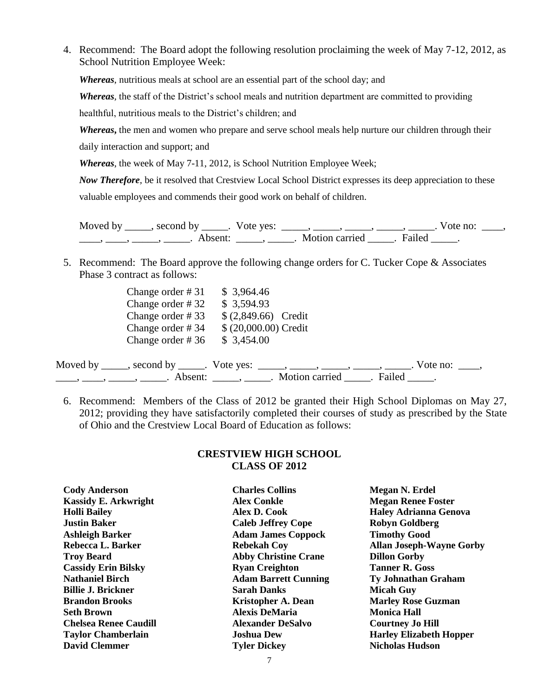4. Recommend: The Board adopt the following resolution proclaiming the week of May 7-12, 2012, as School Nutrition Employee Week:

*Whereas*, nutritious meals at school are an essential part of the school day; and

*Whereas,* the staff of the District's school meals and nutrition department are committed to providing

healthful, nutritious meals to the District's children; and

*Whereas***,** the men and women who prepare and serve school meals help nurture our children through their daily interaction and support; and

*Whereas*, the week of May 7-11, 2012, is School Nutrition Employee Week;

*Now Therefore,* be it resolved that Crestview Local School District expresses its deep appreciation to these valuable employees and commends their good work on behalf of children.

Moved by \_\_\_\_\_, second by \_\_\_\_\_. Vote yes:  $\_\_\_\_\_\_\_\_\_\_\_\_\_\_\_$  \_\_\_\_\_, \_\_\_\_\_, \_\_\_\_\_. Vote no:  $\_\_\_\_\_\_\$ \_\_\_\_\_, \_\_\_\_\_\_, \_\_\_\_\_\_\_. Absent: \_\_\_\_\_\_, \_\_\_\_\_\_. Motion carried \_\_\_\_\_\_. Failed \_\_\_\_\_.

5. Recommend: The Board approve the following change orders for C. Tucker Cope & Associates Phase 3 contract as follows:

| Change order $\# 31$ | \$3,964.46                                                                                |  |
|----------------------|-------------------------------------------------------------------------------------------|--|
| Change order $#32$   | \$3,594.93                                                                                |  |
| Change order $# 33$  | $(2,849.66)$ Credit                                                                       |  |
| Change order #34     | $$ (20,000.00)$ Credit                                                                    |  |
| Change order $#36$   | \$3,454.00                                                                                |  |
|                      | Moved by _____, second by _____. Vote yes: _____, _____, _____, _____, _____,<br>Vote no: |  |
|                      | Motion carried _<br>Absent: $\_\_\_\_\_\_\_\$<br>Failed                                   |  |

6. Recommend: Members of the Class of 2012 be granted their High School Diplomas on May 27, 2012; providing they have satisfactorily completed their courses of study as prescribed by the State of Ohio and the Crestview Local Board of Education as follows:

#### **CRESTVIEW HIGH SCHOOL CLASS OF 2012**

**Charles Collins Alex Conkle**

**Alex D. Cook Caleb Jeffrey Cope Adam James Coppock Rebekah Coy Abby Christine Crane Ryan Creighton Adam Barrett Cunning Sarah Danks Kristopher A. Dean Alexis DeMaria Alexander DeSalvo Joshua Dew Tyler Dickey**

**Megan N. Erdel Megan Renee Foster Haley Adrianna Genova Robyn Goldberg Timothy Good Allan Joseph-Wayne Gorby Dillon Gorby Tanner R. Goss Ty Johnathan Graham Micah Guy Marley Rose Guzman Monica Hall Courtney Jo Hill Harley Elizabeth Hopper Nicholas Hudson**